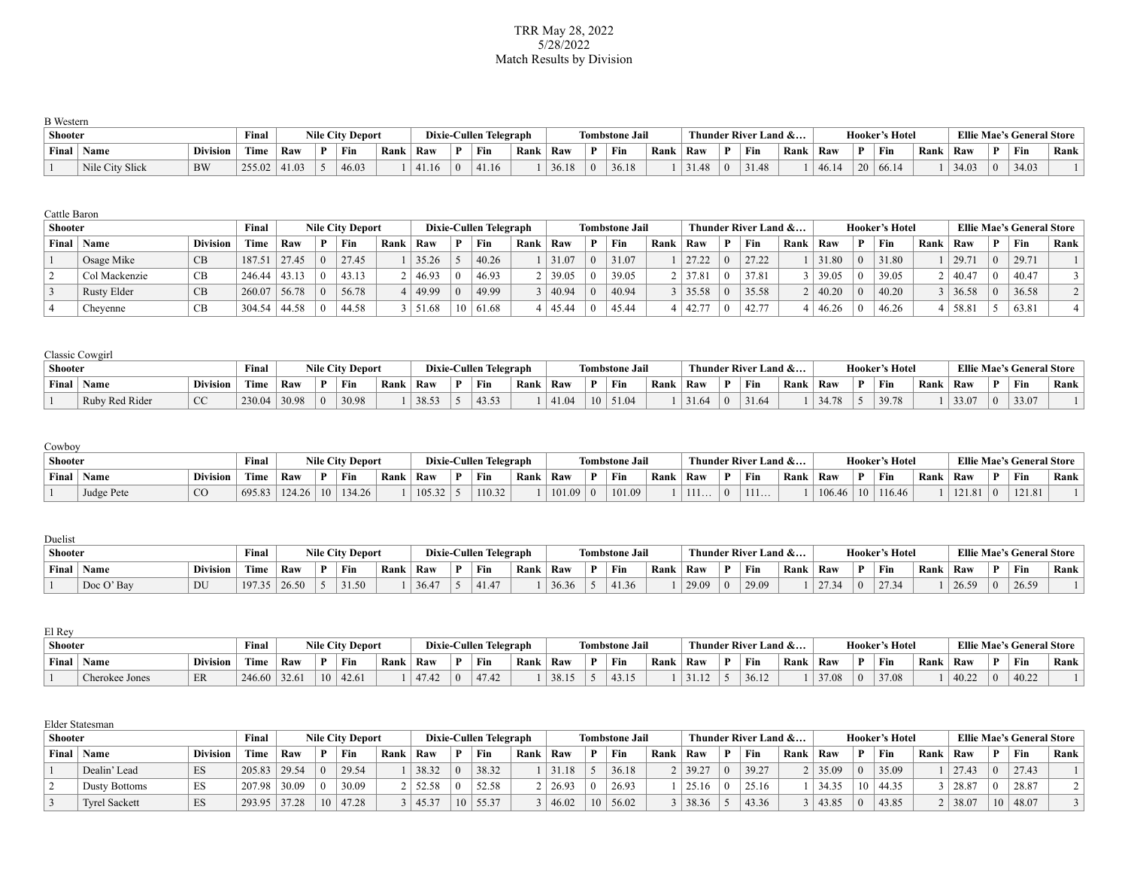### TRR May 28, 2022 5/28/2022 Match Results by Division

| <b>B</b> Western |                 |                 |        |                 |                         |      |       |    |                        |      |       |    |                       |      |       |          |                      |      |       |                 |                       |      |       |         |                                  |      |
|------------------|-----------------|-----------------|--------|-----------------|-------------------------|------|-------|----|------------------------|------|-------|----|-----------------------|------|-------|----------|----------------------|------|-------|-----------------|-----------------------|------|-------|---------|----------------------------------|------|
| Shooter          |                 |                 | Final  |                 | <b>Nile City Deport</b> |      |       |    | Dixie-Cullen Telegraph |      |       |    | <b>Tombstone Jail</b> |      |       |          | Thunder River Land & |      |       |                 | <b>Hooker's Hotel</b> |      |       |         | <b>Ellie Mae's General Store</b> |      |
| Final            | Name            | <b>Division</b> | Time   | Raw             | ' Fin                   | Rank | Raw   | D. | Fin                    | Rank | Raw   | D. | Fin                   | Rank | Raw   | D        | Fin                  | Rank | Raw   | D               | Fin                   | Rank | ⊥ Raw |         | Fin                              | Rank |
|                  | Nile City Slick | <b>BW</b>       | 255.02 | $ 41.03\rangle$ | 46.03                   |      | 41.16 |    | 41.16                  |      | 36.18 |    | 36.18                 |      | 31.48 | $\Omega$ | 31.48                |      | 46.14 | 20 <sup>1</sup> | 66.14                 |      | 34.03 | $\pm 0$ | 34.03                            |      |

| Cattle Baron |                    |                 |             |       |            |                         |      |       |                 |                        |      |       |                       |      |                |   |                      |      |                 |                |                       |      |       |            |                                  |      |
|--------------|--------------------|-----------------|-------------|-------|------------|-------------------------|------|-------|-----------------|------------------------|------|-------|-----------------------|------|----------------|---|----------------------|------|-----------------|----------------|-----------------------|------|-------|------------|----------------------------------|------|
| Shooter      |                    |                 | Final       |       |            | <b>Nile City Deport</b> |      |       |                 | Dixie-Cullen Telegraph |      |       | <b>Tombstone Jail</b> |      |                |   | Thunder River Land & |      |                 |                | <b>Hooker's Hotel</b> |      |       |            | <b>Ellie Mae's General Store</b> |      |
| Final        | Name               | <b>Division</b> | <b>Time</b> | Raw   |            | Fin                     | Rank | Raw   | D               | Fin                    | Rank | Raw   | Fin                   | Rank | Raw            | D | Fin                  | Rank | Raw             |                | Fin                   | Rank | Raw   | P.         | Fin                              | Rank |
|              | Osage Mike         | CB              | 187.51      | 27.45 | $\Omega$   | 27.45                   |      | 35.26 |                 | 40.26                  |      | 31.07 | 31.07                 |      | 27.22          |   | 27.22                |      | 31.80           | $\overline{0}$ | 31.80                 |      | 29.71 | $\Omega$   | 29.71                            |      |
|              | Col Mackenzie      | CB              | 246.44      | 43.13 | $\Omega$   | 43.13                   |      | 46.93 |                 | 46.93                  |      | 39.05 | 39.05                 |      | 37.81          |   | 37.81                |      | 39.05           | $\Omega$       | 39.05                 |      | 40.47 |            | 40.47                            |      |
|              | <b>Rusty Elder</b> | CB              | 260.07      | 56.78 | $\Omega$   | 56.78                   |      | 49.99 |                 | 49.99                  |      | 40.94 | 40.94                 |      | $3 \mid 35.58$ |   | 35.58                |      | $ 40.20\rangle$ | $\mathbf{0}$   | 40.20                 |      | 36.58 | $^{\circ}$ | 36.58                            |      |
|              | Chevenne           | CВ              | 304.54      | 44.58 | $^{\circ}$ | 44.58                   |      | 51.68 | 10 <sup>1</sup> | 61.68                  |      | 45.44 | 45.44                 |      | 42.77          |   | 42.77                |      | 46.26           | -0             | 46.26                 |      | 58.81 |            | 63.81                            |      |

|                | Classic Cowgirl |                 |        |       |          |                         |      |       |              |                        |      |       |    |                       |      |       |          |                      |      |       |   |                       |      |            |                |                                  |      |
|----------------|-----------------|-----------------|--------|-------|----------|-------------------------|------|-------|--------------|------------------------|------|-------|----|-----------------------|------|-------|----------|----------------------|------|-------|---|-----------------------|------|------------|----------------|----------------------------------|------|
| <b>Shooter</b> |                 |                 | Final  |       |          | <b>Nile City Deport</b> |      |       |              | Dixie-Cullen Telegraph |      |       |    | <b>Tombstone Jail</b> |      |       |          | Thunder River Land & |      |       |   | <b>Hooker's Hotel</b> |      |            |                | <b>Ellie Mae's General Store</b> |      |
| Final          | ' Name          | <b>Division</b> | Time   | Raw   |          | Fin                     | Rank | Raw   | $\mathbf{D}$ | Fin                    | Rank | Raw   |    | Fin                   | Rank | Raw   | D        | Fin                  | Rank | Raw   | Ð | Fin                   | Rank | <b>Raw</b> |                | Fin                              | Rank |
|                | Ruby Red Rider  | $\sim$<br>UU    | 230.04 | 30.98 | $\Omega$ | 30.98                   |      | 38.53 |              | 43.53                  |      | 41.04 | 10 | 151.04                |      | 31.64 | $\Omega$ | 31.64                |      | 34.78 |   | 39.78                 |      | 33.07      | $\overline{0}$ | 33.07                            |      |

# Cowboy

| Shooter |            |                 | <b>Final</b>          |        |    | <b>Nile City Deport</b> |      |        |    | Dixie-Cullen Telegraph |      |        | <b>Tombstone Jail</b> |      |      |   | Thunder River Land & |      |        |                 | <b>Hooker's Hotel</b> |      |        |              | <b>Ellie Mae's General Store</b> |      |
|---------|------------|-----------------|-----------------------|--------|----|-------------------------|------|--------|----|------------------------|------|--------|-----------------------|------|------|---|----------------------|------|--------|-----------------|-----------------------|------|--------|--------------|----------------------------------|------|
| Final   | Name       | <b>Division</b> | <b>FILTER</b><br>Time | Raw    | D  | Fin                     | Rank | Raw    | D. | ' Fin                  | Rank | Raw    | Fin                   | Rank | Raw  | D | Fin                  | Rank | ' Raw  |                 | Fin                   | Rank | Raw    | $\mathbf{D}$ | Fin                              | Rank |
|         | Judge Pete | Ü               | 695.83                | 124.26 | 10 | 34.26                   |      | 105.32 |    | 110.32                 |      | 101.09 | 101.09                |      | 111. |   | .                    |      | 106.46 | 10 <sup>1</sup> | 116.46                |      | 121.01 |              | 121.81                           |      |

| Duelist |           |                 |              |       |                         |      |       |              |                        |      |       |    |                       |      |       |   |                      |      |       |          |                |        |       |              |                                  |      |
|---------|-----------|-----------------|--------------|-------|-------------------------|------|-------|--------------|------------------------|------|-------|----|-----------------------|------|-------|---|----------------------|------|-------|----------|----------------|--------|-------|--------------|----------------------------------|------|
| Shooter |           |                 | Final        |       | <b>Nile City Deport</b> |      |       |              | Dixie-Cullen Telegraph |      |       |    | <b>Tombstone Jail</b> |      |       |   | Thunder River Land & |      |       |          | Hooker's Hotel |        |       |              | <b>Ellie Mae's General Store</b> |      |
| Final   | Name      | <b>Division</b> | $-1$<br>Fime | Raw   | Fin                     | Rank | Raw   | $\mathbf{D}$ | Fin                    | Rank | Raw   | D. | Fin                   | Rank | Raw   | D | ' Fin                | Rank | Raw   |          | Fin            | Rank i | Raw   | $\mathbf{D}$ | Fin                              | Rank |
|         | Doc O'Bay | DU              | 197.35       | 26.50 | 31.50                   |      | 36.47 |              | 41.47                  |      | 36.36 |    | 41.36                 |      | 29.09 |   | 29.09                |      | 27.34 | $\Omega$ | 27.34<br>تر    |        | 26.59 |              | 26.59                            |      |

| El Rev         |                |                 |                |       |              |                         |      |      |          |                        |      |       |   |                       |      |       |                      |      |       |                       |      |       |          |                                  |      |
|----------------|----------------|-----------------|----------------|-------|--------------|-------------------------|------|------|----------|------------------------|------|-------|---|-----------------------|------|-------|----------------------|------|-------|-----------------------|------|-------|----------|----------------------------------|------|
| <b>Shooter</b> |                |                 | Finar          |       |              | <b>Nile City Deport</b> |      |      |          | Dixie-Cullen Telegraph |      |       |   | <b>Tombstone Jail</b> |      |       | Thunder River Land & |      |       | <b>Hooker's Hotel</b> |      |       |          | <b>Ellie Mae's General Store</b> |      |
| Final          | Name           | <b>Division</b> | $\sim$<br>Time | Raw   | $\mathbf{D}$ | Fin                     | Rank | Raw  |          | Fin                    | Rank | Raw   | D | Fin                   | Rank | Raw   | Fin                  | Rank | Raw   | Fin                   | Rank | Raw   | <b>D</b> | Fin                              | Rank |
|                | Cherokee Jones | ER              | 246.60         | 32.61 | $10-1$       | 42.61                   |      | 4742 | $\theta$ | 47.42                  |      | 38.15 |   | 43.15                 |      | 21.12 | 36.12                |      | 37.08 | 37.08                 |      | 40.22 |          | 10.25<br>40.ZZ                   |      |

|         | Elder Statesman      |                 |        |       |          |                         |      |        |              |                        |      |       |    |                       |      |                |                      |      |       |          |                       |      |       |            |                                  |      |
|---------|----------------------|-----------------|--------|-------|----------|-------------------------|------|--------|--------------|------------------------|------|-------|----|-----------------------|------|----------------|----------------------|------|-------|----------|-----------------------|------|-------|------------|----------------------------------|------|
| Shooter |                      |                 | Final  |       |          | <b>Nile City Deport</b> |      |        |              | Dixie-Cullen Telegraph |      |       |    | <b>Tombstone Jail</b> |      |                | Thunder River Land & |      |       |          | <b>Hooker's Hotel</b> |      |       |            | <b>Ellie Mae's General Store</b> |      |
| Final   | Name                 | <b>Division</b> | Time   | Raw   |          | Fin                     | Rank | Raw    | D            | Fin                    | Rank | Raw   |    | Fin                   | Rank | Raw            | Fin                  | Rank | Raw   |          | Fin                   | Rank | Raw   | D          | Fin                              | Rank |
|         | Dealin' Lead         | ES              | 205.83 | 29.54 | $\Omega$ | 29.54                   |      | 38.32  | $^{\prime}$  | 38.32                  |      | 31.18 |    | 36.18                 |      | $2 \mid 39.27$ | 39.27                |      | 35.09 | $\Omega$ | 35.09                 |      | 27.43 | $\Omega$   | 27.43                            |      |
|         | <b>Dusty Bottoms</b> | ES              | 207.98 | 30.09 |          | 30.09                   |      | 52.58  | $\mathbf{u}$ | 52.58                  |      | 26.93 |    | 26.93                 |      | 25.16          | 25.16                |      | 34.35 | 10       | 44.35                 |      | 28.87 | $^{\circ}$ | 28.87                            |      |
|         | <b>Tyrel Sackett</b> | ES              | 293.95 | 37.28 | 10       | 47.28                   |      | 145.37 | 10           | 1,55.37                |      | 46.02 | 10 | 56.02                 |      | $3 \mid 38.36$ | 43.36                |      | 43.85 |          | 43.85                 |      | 38.07 | 10         | 48.07                            |      |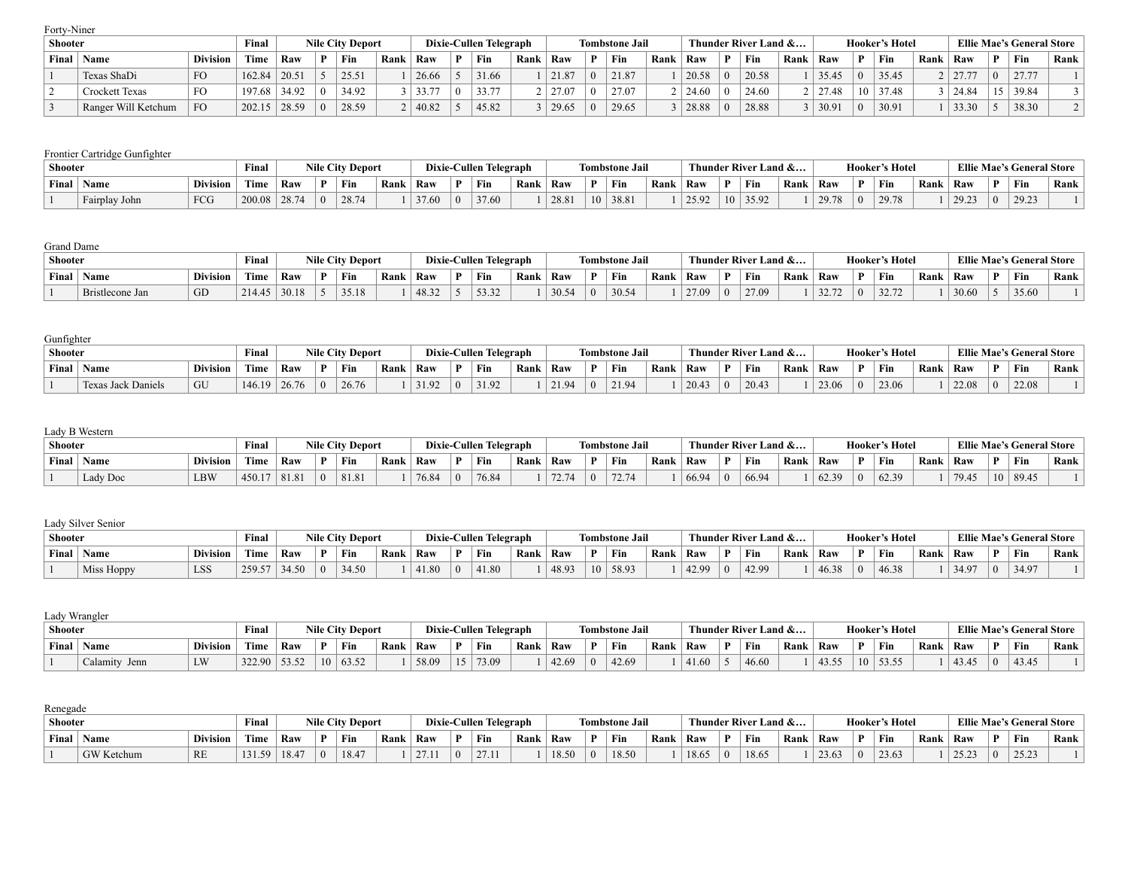Forty-Niner

| Shooter |                       |                 | Final             |       |    | <b>Nile City Deport</b> |      |       | Dixie-Cullen Telegraph |      |       |                  | <b>Tombstone Jail</b> |      |       |    | Thunder River Land & |      |       |   | <b>Hooker's Hotel</b> |      |       | <b>Ellie Mae's General Store</b> |        |
|---------|-----------------------|-----------------|-------------------|-------|----|-------------------------|------|-------|------------------------|------|-------|------------------|-----------------------|------|-------|----|----------------------|------|-------|---|-----------------------|------|-------|----------------------------------|--------|
| Final   | Name                  | <b>Division</b> | marka a l<br>Time | Raw   | D. | Fin                     | Ranl | Raw   | Fin                    | Rank | Raw   |                  | Fin                   | Rank | Raw   | D. | Fin                  | Rank | Raw   | D | Fin                   | Rank | Raw   | Fin                              | Rank i |
|         | Texas ShaDi           | FO              | 162.84            | 20.51 |    | 25.51                   |      | 26.66 | 31.66                  |      | 21.87 | $\left( \right)$ | 21.87                 |      | 20.58 |    | 20.58                |      | 35.45 |   | 35.45                 |      | 27.77 | 27.77                            |        |
|         | <b>Crockett Texas</b> | FO              | 197.68            | 34.92 |    | 34.92                   |      | 33.77 | 33.77                  |      | 27.07 | $\Omega$         | 27.07                 |      |       |    | 24.60                |      | 27.48 |   | 37.48                 |      | 24.84 | 39.84                            |        |
|         | Ranger Will Ketchum   | F <sub>O</sub>  | 202.15            | 28.59 |    | 28.59                   |      | 40.82 | 45.82                  |      | 29.65 | $\vert$ ()       | 29.65                 |      | 28.88 |    | 28.88                |      | 30.91 |   | 30.91                 |      | 33.30 | 38.30                            |        |

### Frontier Cartridge Gunfighter

| <b>Shooter</b> |               |                 | Final  |       |          | <b>Nile City Deport</b> |      |      |    | Dixie-Cullen Telegraph |      |       |   | <b>Tombstone Jail</b> |      |       |              | Thunder River Land & |      |       |   | <b>Hooker's Hotel</b> |      |       | <b>Ellie Mae's General Store</b> |      |
|----------------|---------------|-----------------|--------|-------|----------|-------------------------|------|------|----|------------------------|------|-------|---|-----------------------|------|-------|--------------|----------------------|------|-------|---|-----------------------|------|-------|----------------------------------|------|
| Final          | ' Name        | <b>Division</b> | Time   | Raw   |          | ` Fin                   | Rank | Raw  | D. | Fin                    | Rank | Raw   | D | ' Fin                 | Rank | Raw   | $\mathbf{D}$ | Fin                  | Rank | Raw   | Ð | ` Fin                 | Rank | Raw   | Fin                              | Rank |
|                | Fairplay John | FCG             | 200.08 | 28.74 | $\Omega$ | 28.74                   |      | 27.6 |    | 37.60                  |      | 28.81 |   | 38.81                 |      | 25.92 |              | 35.92                |      | 29.78 |   | 29.78                 |      | 29.23 | $29.2^{\circ}$                   |      |

#### Grand Dame

| Shooter |                 |                 | <b>Final</b>              |       |              | <b>Nile City Deport</b> |        |       | Dixie-Cullen Telegraph |      |       |   | <b>Tombstone Jail</b> |      |       |          | Thunder River Land & |      |       | <b>Hooker's Hotel</b> |      |       | <b>Ellie Mae's General Store</b> |      |
|---------|-----------------|-----------------|---------------------------|-------|--------------|-------------------------|--------|-------|------------------------|------|-------|---|-----------------------|------|-------|----------|----------------------|------|-------|-----------------------|------|-------|----------------------------------|------|
| Final   | Name            | <b>Division</b> | <b>CONTRACTOR</b><br>Fime | Raw   | $\mathbf{D}$ | Fin                     | ` Rank | Raw   | Fin                    | Rank | Raw   | D | Fin                   | Rank | Raw   |          | Fin                  | Rank | Raw   | Fin                   | Rank | Raw   | Fin                              | Rank |
|         | Bristlecone Jan | GD              |                           | 30.18 |              | 35.18                   |        | 48.32 | 5332                   |      | 30.54 |   | 30.54                 |      | 27.09 | $\Omega$ | 27.09                |      | 32.72 | 22.72                 |      | 30.60 | 35.60                            |      |

| Gunfighter |                    |                 |        |        |          |                         |      |               |   |                        |      |       |                       |      |       |   |                      |      |                  |                |                |      |       |              |                                  |      |
|------------|--------------------|-----------------|--------|--------|----------|-------------------------|------|---------------|---|------------------------|------|-------|-----------------------|------|-------|---|----------------------|------|------------------|----------------|----------------|------|-------|--------------|----------------------------------|------|
| Shooter    |                    |                 | Final  |        |          | <b>Nile City Deport</b> |      |               |   | Dixie-Cullen Telegraph |      |       | <b>Tombstone Jail</b> |      |       |   | Thunder River Land & |      |                  |                | Hooker's Hotel |      |       |              | <b>Ellie Mae's General Store</b> |      |
| Final      | Name               | <b>Division</b> | Time   | Raw    |          | ' Fin                   | Rank | Raw           | D | Fin                    | Rank | Raw   | Fin                   | Rank | Raw   | D | ' Fin                | Rank | <sup>'</sup> Raw |                | Fin            | Rank | Raw   | $\mathbf{D}$ | Fin                              | Rank |
|            | Texas Jack Daniels | GU              | 146.19 | 126.76 | $\Omega$ | 26.76                   |      | $\sim$ $\sim$ |   | 31.92                  |      | 21.94 | 21.94                 |      | 20.43 |   | 20.43                |      | 23.06            | $\overline{0}$ | 23.06          |      | 22.08 |              | 22.08                            |      |

| Lady B Western |  |
|----------------|--|
|----------------|--|

| Shooter |              |                 | Final       |     | <b>Nile City Deport</b> |      |       |        | Dixie-Cullen Telegraph |      |      |          | <b>Tombstone Jail</b>                                  |      |       | Thunder River Land & |      |                |          | Hooker's Hotel |      |       |    | <b>Ellie Mae's General Store</b> |      |
|---------|--------------|-----------------|-------------|-----|-------------------------|------|-------|--------|------------------------|------|------|----------|--------------------------------------------------------|------|-------|----------------------|------|----------------|----------|----------------|------|-------|----|----------------------------------|------|
|         | Final   Name | <b>Division</b> | <b>Time</b> | Raw | ` Fin                   | Rank | Raw   |        | Fin                    | Rank | Raw  |          | Fin                                                    | Rank | Raw   | ` Fin                | Rank | Raw            |          | Fin            | Rank | Raw   | n  | Fin                              | Rank |
|         | Lady Doc     | <b>LBW</b>      | 450.17      |     | 81.81                   |      | 76.84 | $\Box$ | 76.84                  |      | - 74 | $\Omega$ | $\pi$ $\sim$ $\pi$ <sub><math>4</math></sub><br>(2.14) |      | 66.94 | 66.94                |      | 62.39<br>02.5. | $\theta$ | 62.39          |      | 79.45 | 10 | 89.45                            |      |

### Lady Silver Senior

| Shooter |            |                 | Final                    |       |          | <b>Nile City Deport</b> |      | Dixie-C | <b>Cullen Telegraph</b> |      |       |    | <b>Tombstone Jail</b> |      |       |          | Thunder River Land & |      |       |   | <b>Hooker's Hotel</b> |      |       |          | <b>Ellie Mae's General Store</b> |      |
|---------|------------|-----------------|--------------------------|-------|----------|-------------------------|------|---------|-------------------------|------|-------|----|-----------------------|------|-------|----------|----------------------|------|-------|---|-----------------------|------|-------|----------|----------------------------------|------|
| Final   | ' Name     | <b>Division</b> | <b>CONTRACTOR</b><br>Ume | Raw   |          | Fin                     | Rank | Raw     | Fin                     | Rank | Raw   | D. | Fin                   | Rank | Raw   |          | Fin                  | Rank | Raw   | D | Fin                   | Rank | ' Raw | n        | Fin                              | Rank |
|         | Miss Hoppy | LSS             | 259.57                   | 34.50 | $\Omega$ | 34.50                   |      | 41.80   | 41.80                   |      | 48.93 | 10 | 58.93                 |      | 42.99 | $\Omega$ | 12.95                |      | 46.38 |   | 46.38                 |      | 34.97 | $\Omega$ | 34.97                            |      |

| Lady Wrangler |               |                 |                  |     |    |                         |      |       |   |                        |      |       |                       |      |                          |   |                      |      |                  |                 |                       |      |       |              |                                  |      |
|---------------|---------------|-----------------|------------------|-----|----|-------------------------|------|-------|---|------------------------|------|-------|-----------------------|------|--------------------------|---|----------------------|------|------------------|-----------------|-----------------------|------|-------|--------------|----------------------------------|------|
| Shooter       |               |                 | Final            |     |    | <b>Nile City Deport</b> |      |       |   | Dixie-Cullen Telegraph |      |       | <b>Tombstone Jail</b> |      |                          |   | Thunder River Land & |      |                  |                 | <b>Hooker's Hotel</b> |      |       |              | <b>Ellie Mae's General Store</b> |      |
| Final         | Name          | <b>Division</b> | Time             | Raw |    | ` Fin                   | Rank | Raw   | D | Fin                    | Rank | Raw   | Fin                   | Rank | Raw                      | D | ' Fin                | Rank | <sup>'</sup> Raw |                 | Fin                   | Rank | Raw   | $\mathbf{D}$ | Fin                              | Rank |
|               | Calamity Jenn | LW              | $322.90$   53.52 |     | 10 | 63.52                   |      | 58.09 |   | 73.09                  |      | 42.69 | 42.69                 |      | 41 <sub>6</sub><br>71.UV |   | 46.60                |      | 43.55            | 10 <sup>1</sup> | 53.55                 |      | 43.45 |              | 43.45                            |      |

| Renegade       |                   |                 |                  |       |              |                         |      |                            |                        |      |       |   |                       |      |       |          |                      |      |       |    |                       |      |                  |          |                                  |      |
|----------------|-------------------|-----------------|------------------|-------|--------------|-------------------------|------|----------------------------|------------------------|------|-------|---|-----------------------|------|-------|----------|----------------------|------|-------|----|-----------------------|------|------------------|----------|----------------------------------|------|
| <b>Shooter</b> |                   |                 | <b>Final</b>     |       |              | <b>Nile City Deport</b> |      |                            | Dixie-Cullen Telegraph |      |       |   | <b>Tombstone Jail</b> |      |       |          | Thunder River Land & |      |       |    | <b>Hooker's Hotel</b> |      |                  |          | <b>Ellie Mae's General Store</b> |      |
| Final          | <b>Name</b>       | <b>Division</b> | Time             | Raw   | $\mathbf{D}$ | Fin                     | Rank | Raw                        | $^{\circ}$ Fin         | Rank | Raw   | D | Fin                   | Rank | Raw   |          | ` Fin                | Rank | Raw   | D. | Fin                   | Rank | Raw              |          | Fin                              | Rank |
|                | <b>GW</b> Ketchum | <b>RE</b>       | 131.50<br>131.35 | 18.47 |              | 18.47                   |      | 271<br>$\sim$ $\prime$ . 1 | 27.11                  |      | 18.50 |   | 18.50                 |      | 18.65 | $\Omega$ | 18.65                |      | 23.63 |    | 23.63                 |      | 25.23<br>- ئارىك | $\Omega$ | 2522<br>ر ے ۔                    |      |